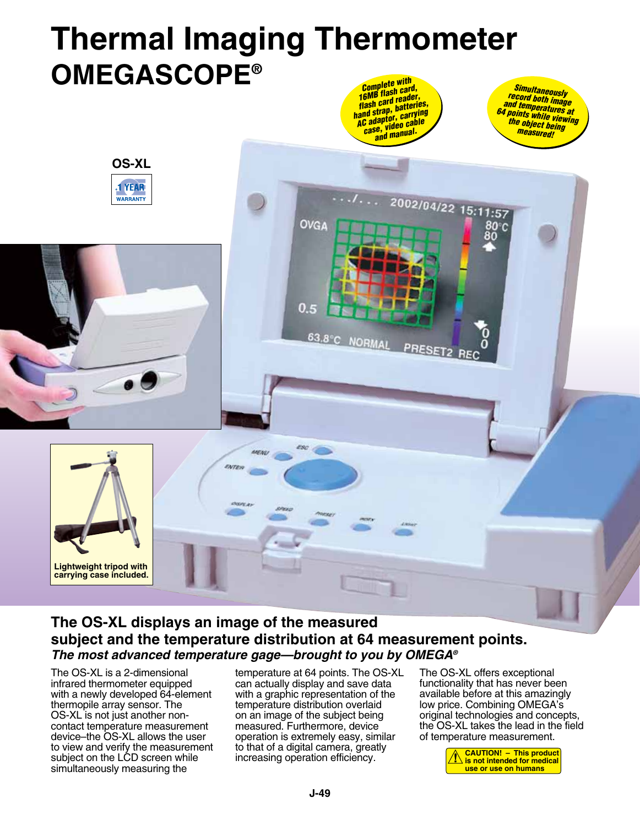## **Thermal Imaging Thermometer Omegascope®** *Complete with 16MB flash card, flash card reader, Simultaneously record both image*

OVGA

 $0.5$ 

63.8°C NORMAL

*hand strap, batteries, AC adaptor, carrying case, video cable and manual.*

 $1.2002/04/22$  15:11:57

PRESET2

*and temperatures at 64 points while viewing the object being measured!*

80°C 8ŏ

# **The OS-XL displays an image of the measured subject and the temperature distribution at 64 measurement points.** *The most advanced temperature gage—brought to you by OMEGA®*

ENTE

The OS-XL is a 2-dimensional infrared thermometer equipped with a newly developed 64-element thermopile array sensor. The OS-XL is not just another noncontact temperature measurement device–the OS-XL allows the user to view and verify the measurement subject on the LCD screen while simultaneously measuring the

**Lightweight tripod with carrying case included.**

**OS-XL**

**YEAR** 

**WARRANTY** 

temperature at 64 points. The OS-XL can actually display and save data with a graphic representation of the temperature distribution overlaid on an image of the subject being measured. Furthermore, device operation is extremely easy, similar to that of a digital camera, greatly increasing operation efficiency.

The OS-XL offers exceptional functionality that has never been available before at this amazingly low price. Combining OMEGA's original technologies and concepts, the OS-XL takes the lead in the field of temperature measurement.

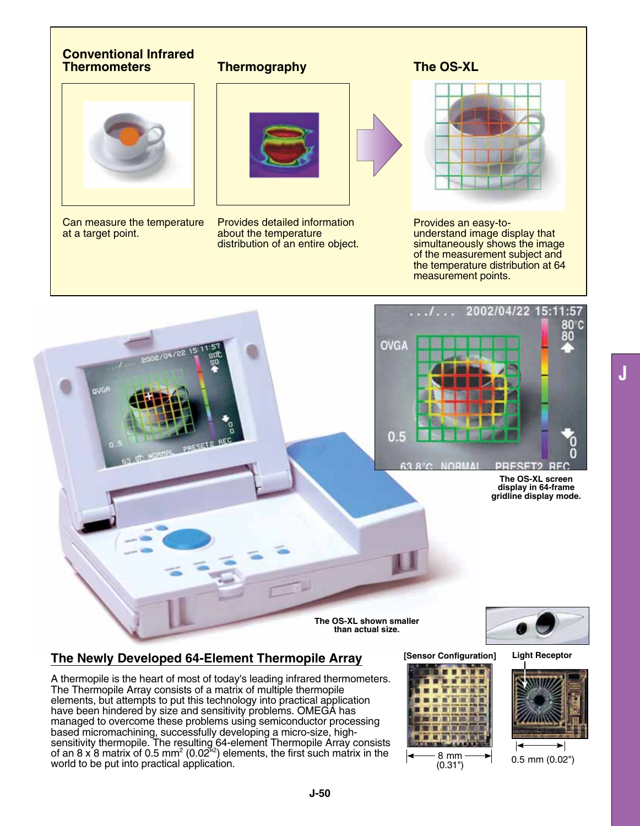## **Conventional Infrared Thermometers**



Can measure the temperature at a target point.

# **Thermography**



Provides detailed information about the temperature distribution of an entire object.

## **The OS-XL**



Provides an easy-tounderstand image display that simultaneously shows the image of the measurement subject and the temperature distribution at 64 measurement points.



# **The Newly Developed 64-Element Thermopile Array**

A thermopile is the heart of most of today's leading infrared thermometers. The Thermopile Array consists of a matrix of multiple thermopile elements, but attempts to put this technology into practical application have been hindered by size and sensitivity problems. OMEGA has managed to overcome these problems using semiconductor processing based micromachining, successfully developing a micro-size, highsensitivity thermopile. The resulting 64-element Thermopile Array consists of an 8 x 8 matrix of 0.5 mm<sup>2</sup> (0.02<sup>n<sub>2</sub>)</sup> elements, the first such matrix in the world to be put into practical application.

#### **[Sensor Configuration]**









0.5 mm (0.02")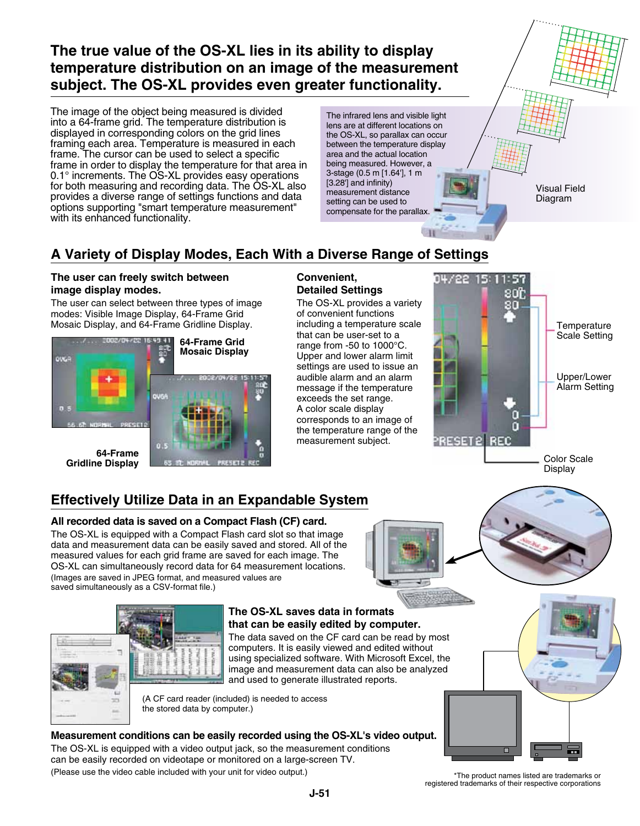# **The true value of the OS-XL lies in its ability to display temperature distribution on an image of the measurement subject. The OS-XL provides even greater functionality.**

The image of the object being measured is divided into a 64-frame grid. The temperature distribution is displayed in corresponding colors on the grid lines framing each area. Temperature is measured in each frame. The cursor can be used to select a specific frame in order to display the temperature for that area in 0.1° increments. The OS-XL provides easy operations for both measuring and recording data. The OS-XL also provides a diverse range of settings functions and data options supporting "smart temperature measurement" with its enhanced functionality.

The infrared lens and visible light lens are at different locations on the OS-XL, so parallax can occur between the temperature display area and the actual location being measured. However, a 3-stage (0.5 m [1.64'], 1 m [3.28<sup>'</sup>] and infinity) measurement distance setting can be used to compensate for the parallax.

Visual Field Diagram

# **A Variety of Display Modes, Each With a Diverse Range of Settings**

### **The user can freely switch between image display modes.**

The user can select between three types of image modes: Visible Image Display, 64-Frame Grid Mosaic Display, and 64-Frame Gridline Display.



#### **Convenient, Detailed Settings**

The OS-XL provides a variety of convenient functions including a temperature scale that can be user-set to a range from -50 to 1000°C. Upper and lower alarm limit settings are used to issue an audible alarm and an alarm message if the temperature exceeds the set range. A color scale display corresponds to an image of the temperature range of the measurement subject.



# **Effectively Utilize Data in an Expandable System**

## **All recorded data is saved on a Compact Flash (CF) card.**

The OS-XL is equipped with a Compact Flash card slot so that image data and measurement data can be easily saved and stored. All of the measured values for each grid frame are saved for each image. The OS-XL can simultaneously record data for 64 measurement locations. (Images are saved in JPEG format, and measured values are saved simultaneously as a CSV-format file.)



#### **The OS-XL saves data in formats that can be easily edited by computer.**

The data saved on the CF card can be read by most computers. It is easily viewed and edited without using specialized software. With Microsoft Excel, the image and measurement data can also be analyzed and used to generate illustrated reports.

(A CF card reader (included) is needed to access the stored data by computer.)

## **Measurement conditions can be easily recorded using the OS-XL's video output.**

The OS-XL is equipped with a video output jack, so the measurement conditions can be easily recorded on videotape or monitored on a large-screen TV. (Please use the video cable included with your unit for video output.)

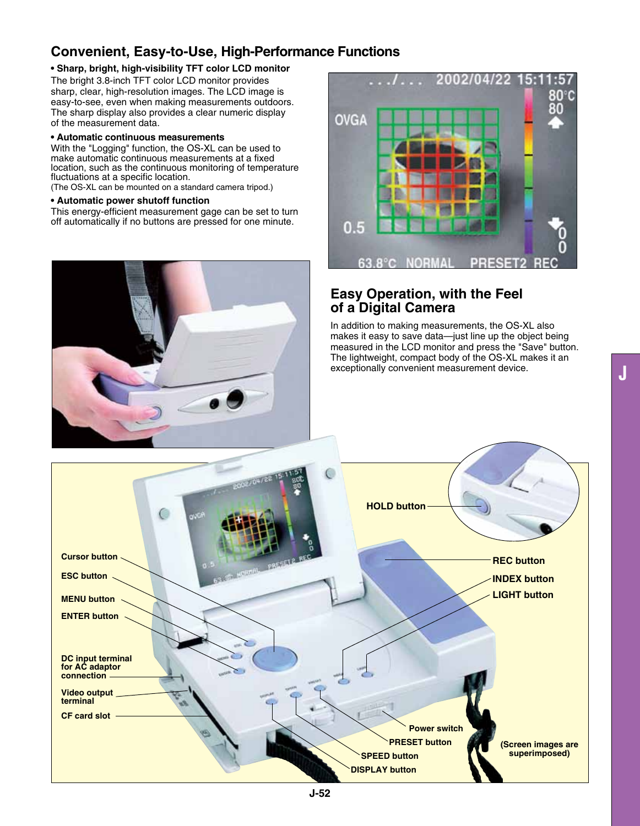# **Convenient, Easy-to-Use, High-Performance Functions**

#### **• Sharp, bright, high-visibility TFT color LCD monitor**

The bright 3.8-inch TFT color LCD monitor provides sharp, clear, high-resolution images. The LCD image is easy-to-see, even when making measurements outdoors. The sharp display also provides a clear numeric display of the measurement data.

#### **• Automatic continuous measurements**

With the "Logging" function, the OS-XL can be used to make automatic continuous measurements at a fixed location, such as the continuous monitoring of temperature fluctuations at a specific location.

(The OS-XL can be mounted on a standard camera tripod.)

#### **• Automatic power shutoff function**

This energy-efficient measurement gage can be set to turn off automatically if no buttons are pressed for one minute.





## **Easy Operation, with the Feel of a Digital Camera**

In addition to making measurements, the OS-XL also makes it easy to save data—just line up the object being measured in the LCD monitor and press the "Save" button. The lightweight, compact body of the OS-XL makes it an exceptionally convenient measurement device.

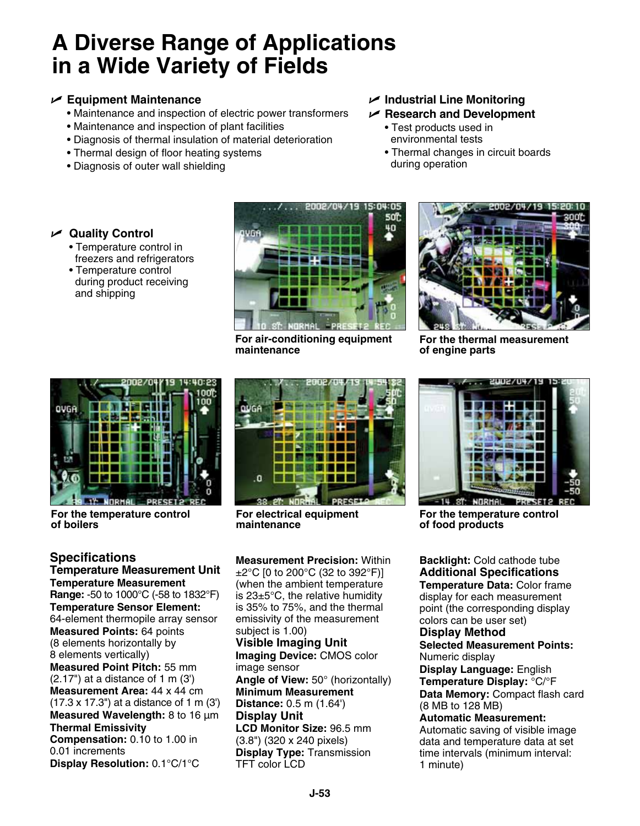# **A Diverse Range of Applications in a Wide Variety of Fields**

## U **Equipment Maintenance**

- Maintenance and inspection of electric power transformers
- Maintenance and inspection of plant facilities
- Diagnosis of thermal insulation of material deterioration
- Thermal design of floor heating systems
- Diagnosis of outer wall shielding
- U **Industrial Line Monitoring**
- U **Research and Development**
	- Test products used in environmental tests
	- Thermal changes in circuit boards during operation

# U **Quality Control**

- Temperature control in freezers and refrigerators
- Temperature control during product receiving and shipping



**For air-conditioning equipment maintenance**



**For the thermal measurement of engine parts**



**For the temperature control of boilers**

**Specifications Temperature Measurement Unit Temperature Measurement Range:** -50 to 1000°C (-58 to 1832°F) **Temperature Sensor Element:**  64-element thermopile array sensor **Measured Points:** 64 points (8 elements horizontally by 8 elements vertically) **Measured Point Pitch:** 55 mm  $(2.17")$  at a distance of 1 m  $(3')$ **Measurement Area:** 44 x 44 cm (17.3 x 17.3") at a distance of 1 m (3') **Measured Wavelength:** 8 to 16 µm

#### **Thermal Emissivity**

**Compensation:** 0.10 to 1.00 in 0.01 increments

**Display Resolution:** 0.1°C/1°C



**For electrical equipment maintenance**

**Measurement Precision:** Within ±2°C [0 to 200°C (32 to 392°F)] (when the ambient temperature is 23±5°C, the relative humidity is 35% to 75%, and the thermal emissivity of the measurement subject is 1.00)

**Visible Imaging Unit Imaging Device:** CMOS color image sensor **Angle of View:** 50° (horizontally) **Minimum Measurement Distance:** 0.5 m (1.64') **Display Unit LCD Monitor Size:** 96.5 mm (3.8") (320 x 240 pixels) **Display Type:** Transmission TFT color LCD



**For the temperature control of food products**

**Backlight:** Cold cathode tube **Additional Specifications Temperature Data:** Color frame display for each measurement point (the corresponding display colors can be user set)

## **Display Method**

**Selected Measurement Points:**  Numeric display

**Display Language:** English **Temperature Display:** °C/°F **Data Memory:** Compact flash card (8 MB to 128 MB)

**Automatic Measurement:**  Automatic saving of visible image data and temperature data at set time intervals (minimum interval: 1 minute)